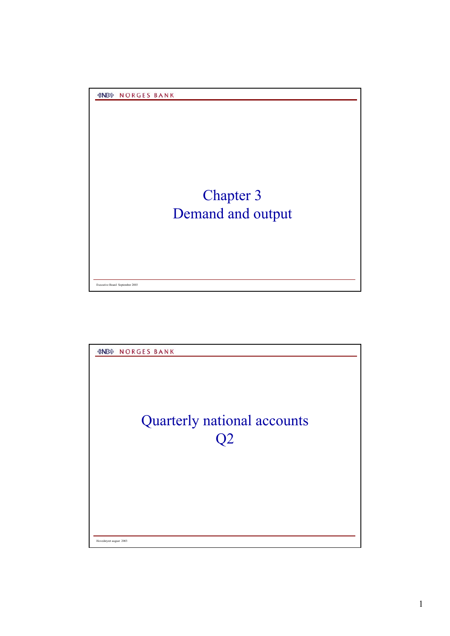*&NB* **NORGES BANK** 

## Chapter 3 Demand and output

Executive Board September 2003



Hovedstyret august 2003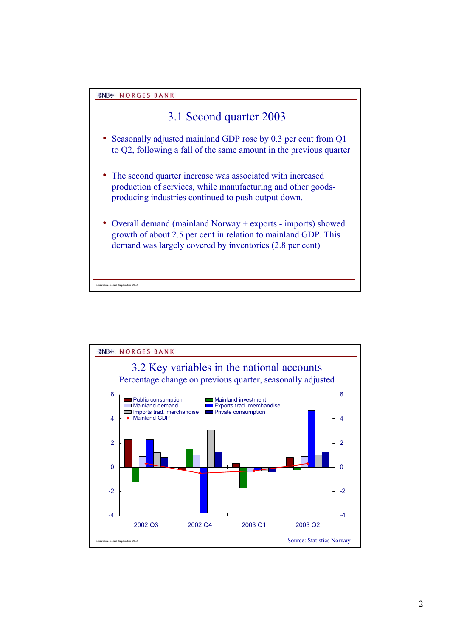Executive Board September 2003

## 3.1 Second quarter 2003

- Seasonally adjusted mainland GDP rose by 0.3 per cent from Q1 to Q2, following a fall of the same amount in the previous quarter
- The second quarter increase was associated with increased production of services, while manufacturing and other goodsproducing industries continued to push output down.
- Overall demand (mainland Norway + exports imports) showed growth of about 2.5 per cent in relation to mainland GDP. This demand was largely covered by inventories (2.8 per cent)

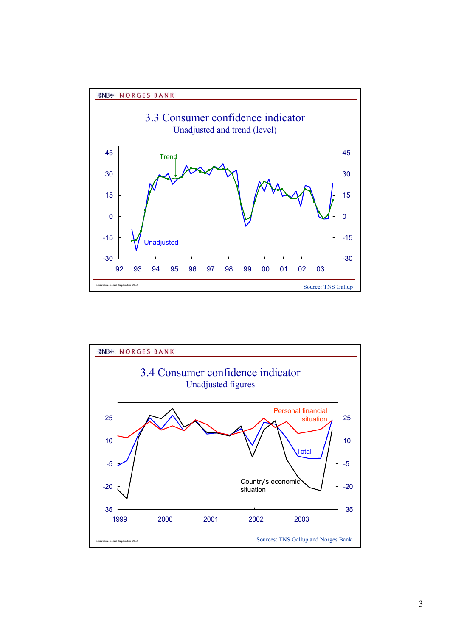



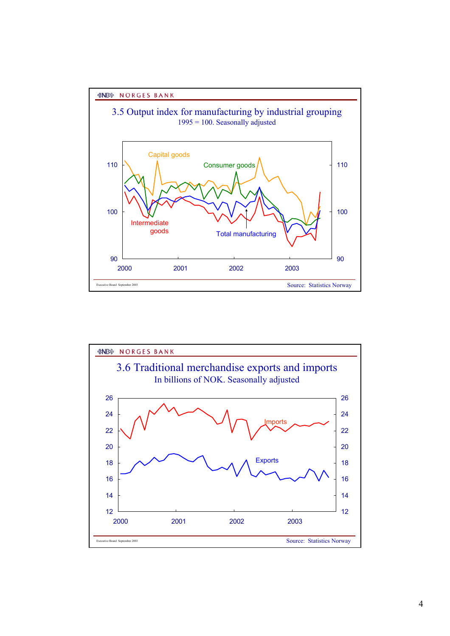

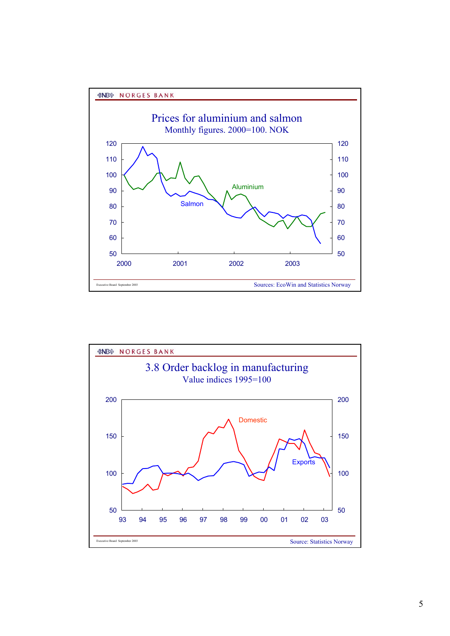



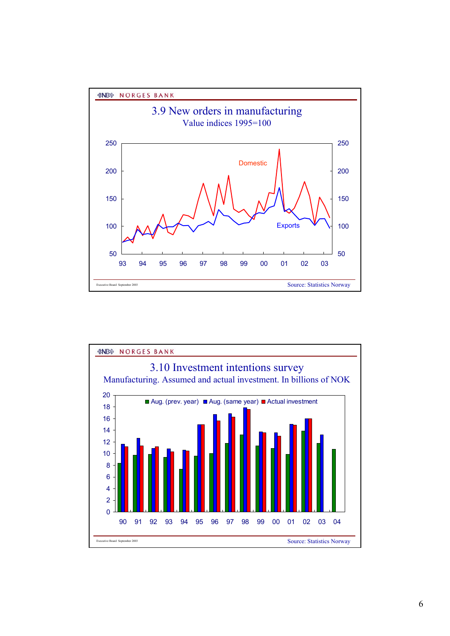